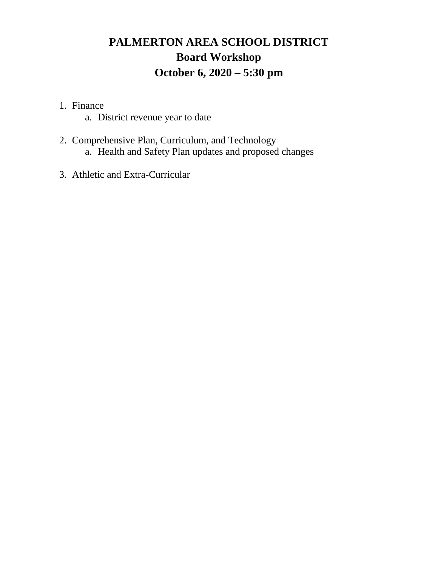# **PALMERTON AREA SCHOOL DISTRICT Board Workshop October 6, 2020 – 5:30 pm**

- 1. Finance
	- a. District revenue year to date
- 2. Comprehensive Plan, Curriculum, and Technology a. Health and Safety Plan updates and proposed changes
- 3. Athletic and Extra-Curricular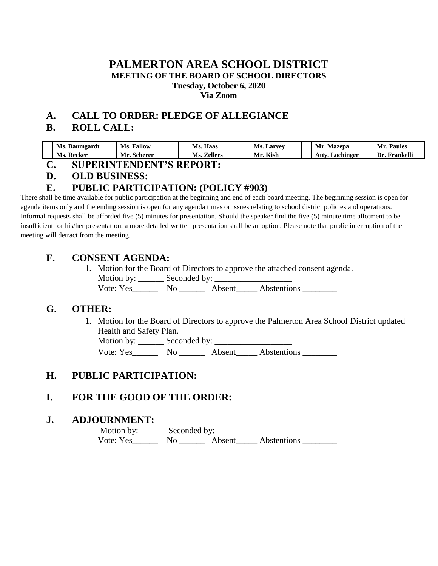### **PALMERTON AREA SCHOOL DISTRICT MEETING OF THE BOARD OF SCHOOL DIRECTORS Tuesday, October 6, 2020 Via Zoom**

# **A. CALL TO ORDER: PLEDGE OF ALLEGIANCE**

# **B. ROLL CALL:**

| Ms.<br>- Baumgardt | <b>Fallow</b><br>Ms. | Haas<br>Ms.           | Ms.<br>. Larvey | Mazepa<br>Mr.      | Paules<br>Mr.   |
|--------------------|----------------------|-----------------------|-----------------|--------------------|-----------------|
| Ms.<br>. Kecker    | Mr.<br>Scherer       | <b>Zellers</b><br>Ms. | Kish<br>Mr.     | ، ttv<br>Lochinger | Dr<br>Frankelli |

### **C. SUPERINTENDENT'S REPORT:**

#### **D. OLD BUSINESS:**

# **E. PUBLIC PARTICIPATION: (POLICY #903)**

There shall be time available for public participation at the beginning and end of each board meeting. The beginning session is open for agenda items only and the ending session is open for any agenda times or issues relating to school district policies and operations. Informal requests shall be afforded five (5) minutes for presentation. Should the speaker find the five (5) minute time allotment to be insufficient for his/her presentation, a more detailed written presentation shall be an option. Please note that public interruption of the meeting will detract from the meeting.

## **F. CONSENT AGENDA:**

1. Motion for the Board of Directors to approve the attached consent agenda. Motion by: \_\_\_\_\_\_ Seconded by: \_\_\_\_\_\_\_\_\_\_\_\_\_\_\_\_\_\_ Vote: Yes\_\_\_\_\_\_ No \_\_\_\_\_\_ Absent\_\_\_\_\_ Abstentions \_\_\_\_\_\_\_\_

### **G. OTHER:**

1. Motion for the Board of Directors to approve the Palmerton Area School District updated Health and Safety Plan.

Motion by: \_\_\_\_\_\_ Seconded by: \_\_\_\_\_\_\_\_\_\_\_\_\_\_\_\_\_\_

Vote: Yes No No Absent Abstentions

# **H. PUBLIC PARTICIPATION:**

# **I. FOR THE GOOD OF THE ORDER:**

# **J. ADJOURNMENT:**

 Motion by: \_\_\_\_\_\_ Seconded by: \_\_\_\_\_\_\_\_\_\_\_\_\_\_\_\_\_\_ Vote: Yes\_\_\_\_\_\_\_\_\_ No \_\_\_\_\_\_\_\_\_ Abstentions